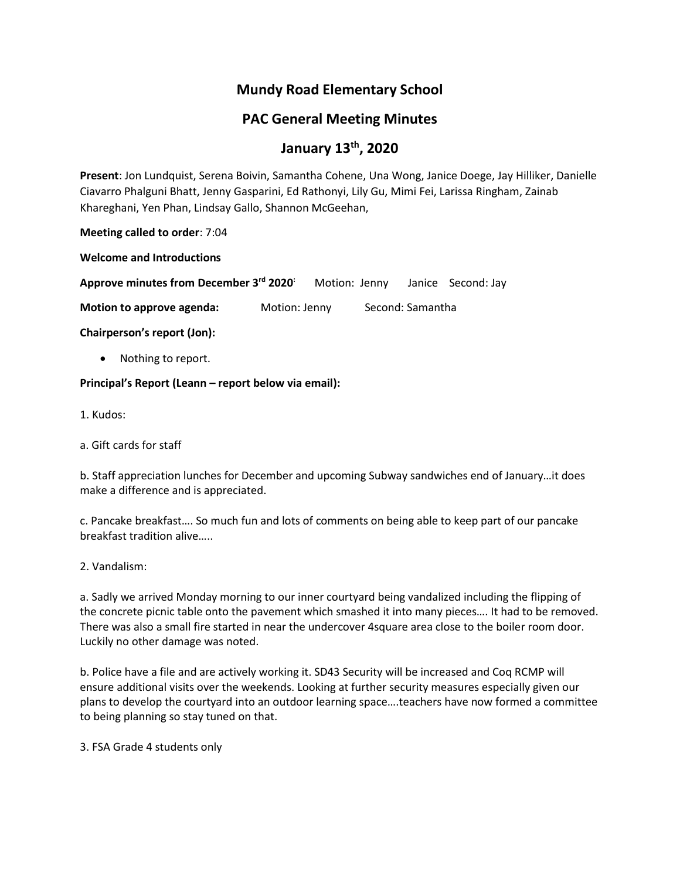## **Mundy Road Elementary School**

## **PAC General Meeting Minutes**

# **January 13th , 2020**

**Present**: Jon Lundquist, Serena Boivin, Samantha Cohene, Una Wong, Janice Doege, Jay Hilliker, Danielle Ciavarro Phalguni Bhatt, Jenny Gasparini, Ed Rathonyi, Lily Gu, Mimi Fei, Larissa Ringham, Zainab Khareghani, Yen Phan, Lindsay Gallo, Shannon McGeehan,

**Meeting called to order**: 7:04

**Welcome and Introductions**

**Approve minutes from December 3rd 2020:** Motion: Jenny Janice Second: Jay

**Motion to approve agenda:** Motion: Jenny Second: Samantha

**Chairperson's report (Jon):**

Nothing to report.

**Principal's Report (Leann – report below via email):**

1. Kudos:

a. Gift cards for staff

b. Staff appreciation lunches for December and upcoming Subway sandwiches end of January…it does make a difference and is appreciated.

c. Pancake breakfast…. So much fun and lots of comments on being able to keep part of our pancake breakfast tradition alive…..

2. Vandalism:

a. Sadly we arrived Monday morning to our inner courtyard being vandalized including the flipping of the concrete picnic table onto the pavement which smashed it into many pieces…. It had to be removed. There was also a small fire started in near the undercover 4square area close to the boiler room door. Luckily no other damage was noted.

b. Police have a file and are actively working it. SD43 Security will be increased and Coq RCMP will ensure additional visits over the weekends. Looking at further security measures especially given our plans to develop the courtyard into an outdoor learning space….teachers have now formed a committee to being planning so stay tuned on that.

3. FSA Grade 4 students only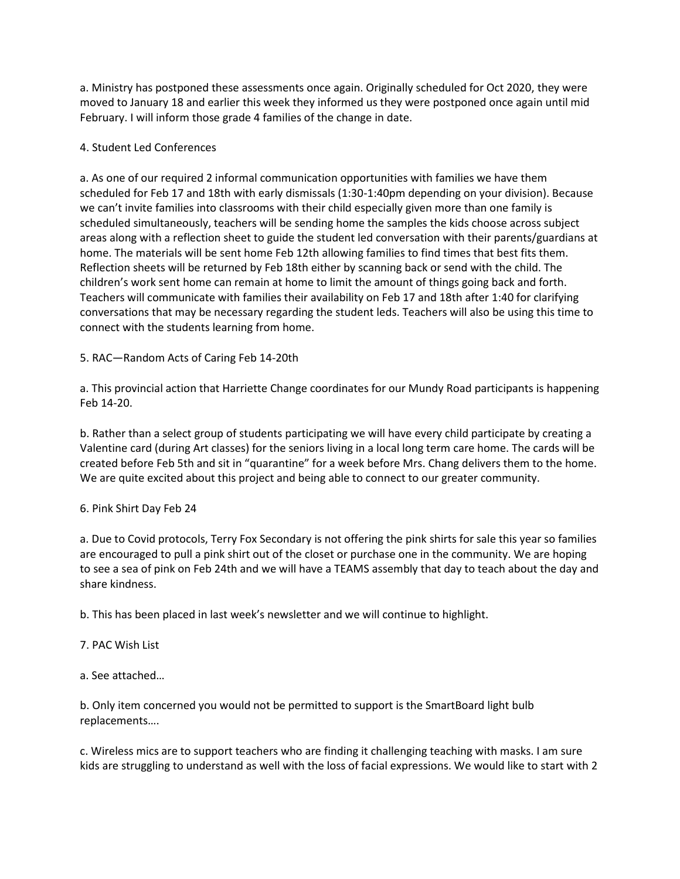a. Ministry has postponed these assessments once again. Originally scheduled for Oct 2020, they were moved to January 18 and earlier this week they informed us they were postponed once again until mid February. I will inform those grade 4 families of the change in date.

#### 4. Student Led Conferences

a. As one of our required 2 informal communication opportunities with families we have them scheduled for Feb 17 and 18th with early dismissals (1:30-1:40pm depending on your division). Because we can't invite families into classrooms with their child especially given more than one family is scheduled simultaneously, teachers will be sending home the samples the kids choose across subject areas along with a reflection sheet to guide the student led conversation with their parents/guardians at home. The materials will be sent home Feb 12th allowing families to find times that best fits them. Reflection sheets will be returned by Feb 18th either by scanning back or send with the child. The children's work sent home can remain at home to limit the amount of things going back and forth. Teachers will communicate with families their availability on Feb 17 and 18th after 1:40 for clarifying conversations that may be necessary regarding the student leds. Teachers will also be using this time to connect with the students learning from home.

#### 5. RAC—Random Acts of Caring Feb 14-20th

a. This provincial action that Harriette Change coordinates for our Mundy Road participants is happening Feb 14-20.

b. Rather than a select group of students participating we will have every child participate by creating a Valentine card (during Art classes) for the seniors living in a local long term care home. The cards will be created before Feb 5th and sit in "quarantine" for a week before Mrs. Chang delivers them to the home. We are quite excited about this project and being able to connect to our greater community.

#### 6. Pink Shirt Day Feb 24

a. Due to Covid protocols, Terry Fox Secondary is not offering the pink shirts for sale this year so families are encouraged to pull a pink shirt out of the closet or purchase one in the community. We are hoping to see a sea of pink on Feb 24th and we will have a TEAMS assembly that day to teach about the day and share kindness.

b. This has been placed in last week's newsletter and we will continue to highlight.

#### 7. PAC Wish List

a. See attached…

b. Only item concerned you would not be permitted to support is the SmartBoard light bulb replacements….

c. Wireless mics are to support teachers who are finding it challenging teaching with masks. I am sure kids are struggling to understand as well with the loss of facial expressions. We would like to start with 2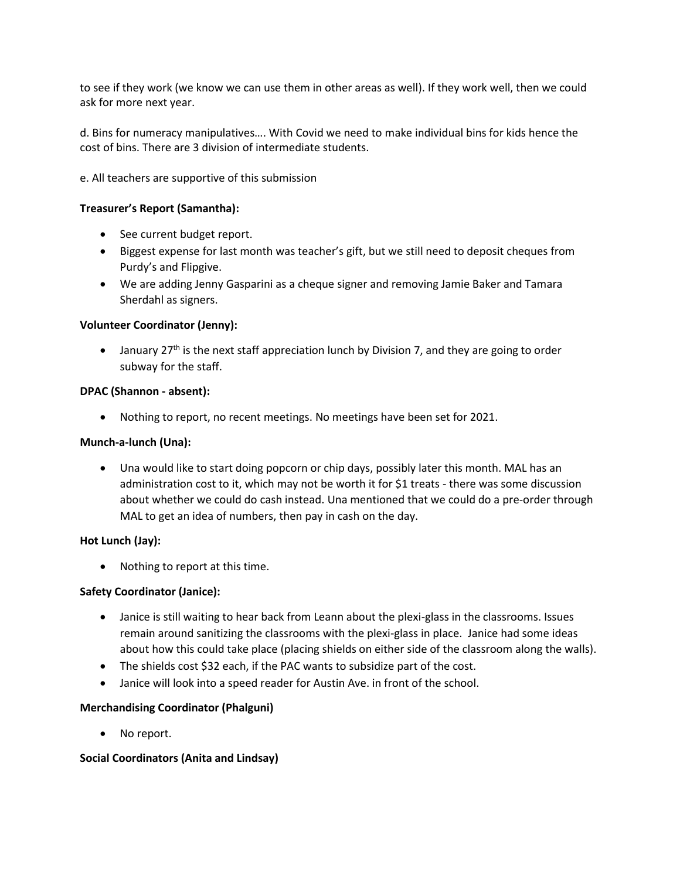to see if they work (we know we can use them in other areas as well). If they work well, then we could ask for more next year.

d. Bins for numeracy manipulatives…. With Covid we need to make individual bins for kids hence the cost of bins. There are 3 division of intermediate students.

e. All teachers are supportive of this submission

## **Treasurer's Report (Samantha):**

- See current budget report.
- Biggest expense for last month was teacher's gift, but we still need to deposit cheques from Purdy's and Flipgive.
- We are adding Jenny Gasparini as a cheque signer and removing Jamie Baker and Tamara Sherdahl as signers.

#### **Volunteer Coordinator (Jenny):**

• January 27<sup>th</sup> is the next staff appreciation lunch by Division 7, and they are going to order subway for the staff.

#### **DPAC (Shannon - absent):**

• Nothing to report, no recent meetings. No meetings have been set for 2021.

#### **Munch-a-lunch (Una):**

• Una would like to start doing popcorn or chip days, possibly later this month. MAL has an administration cost to it, which may not be worth it for \$1 treats - there was some discussion about whether we could do cash instead. Una mentioned that we could do a pre-order through MAL to get an idea of numbers, then pay in cash on the day.

#### **Hot Lunch (Jay):**

• Nothing to report at this time.

#### **Safety Coordinator (Janice):**

- Janice is still waiting to hear back from Leann about the plexi-glass in the classrooms. Issues remain around sanitizing the classrooms with the plexi-glass in place. Janice had some ideas about how this could take place (placing shields on either side of the classroom along the walls).
- The shields cost \$32 each, if the PAC wants to subsidize part of the cost.
- Janice will look into a speed reader for Austin Ave. in front of the school.

#### **Merchandising Coordinator (Phalguni)**

No report.

#### **Social Coordinators (Anita and Lindsay)**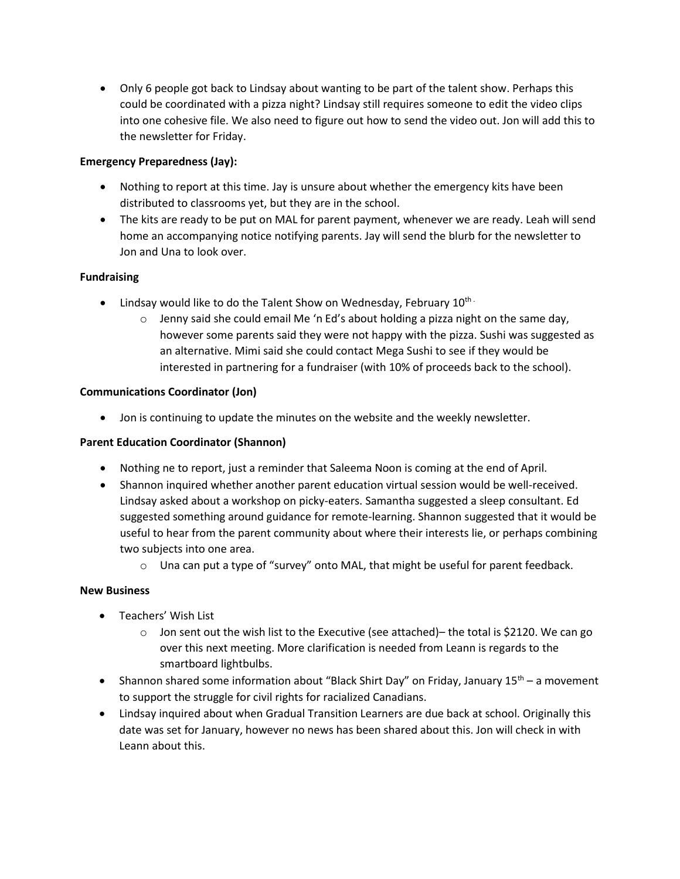• Only 6 people got back to Lindsay about wanting to be part of the talent show. Perhaps this could be coordinated with a pizza night? Lindsay still requires someone to edit the video clips into one cohesive file. We also need to figure out how to send the video out. Jon will add this to the newsletter for Friday.

## **Emergency Preparedness (Jay):**

- Nothing to report at this time. Jay is unsure about whether the emergency kits have been distributed to classrooms yet, but they are in the school.
- The kits are ready to be put on MAL for parent payment, whenever we are ready. Leah will send home an accompanying notice notifying parents. Jay will send the blurb for the newsletter to Jon and Una to look over.

### **Fundraising**

- Lindsay would like to do the Talent Show on Wednesday, February  $10^{\text{th}}$ .
	- $\circ$  Jenny said she could email Me 'n Ed's about holding a pizza night on the same day, however some parents said they were not happy with the pizza. Sushi was suggested as an alternative. Mimi said she could contact Mega Sushi to see if they would be interested in partnering for a fundraiser (with 10% of proceeds back to the school).

#### **Communications Coordinator (Jon)**

• Jon is continuing to update the minutes on the website and the weekly newsletter.

#### **Parent Education Coordinator (Shannon)**

- Nothing ne to report, just a reminder that Saleema Noon is coming at the end of April.
- Shannon inquired whether another parent education virtual session would be well-received. Lindsay asked about a workshop on picky-eaters. Samantha suggested a sleep consultant. Ed suggested something around guidance for remote-learning. Shannon suggested that it would be useful to hear from the parent community about where their interests lie, or perhaps combining two subjects into one area.
	- $\circ$  Una can put a type of "survey" onto MAL, that might be useful for parent feedback.

#### **New Business**

- Teachers' Wish List
	- $\circ$  Jon sent out the wish list to the Executive (see attached)– the total is \$2120. We can go over this next meeting. More clarification is needed from Leann is regards to the smartboard lightbulbs.
- Shannon shared some information about "Black Shirt Day" on Friday, January  $15<sup>th</sup>$  a movement to support the struggle for civil rights for racialized Canadians.
- Lindsay inquired about when Gradual Transition Learners are due back at school. Originally this date was set for January, however no news has been shared about this. Jon will check in with Leann about this.